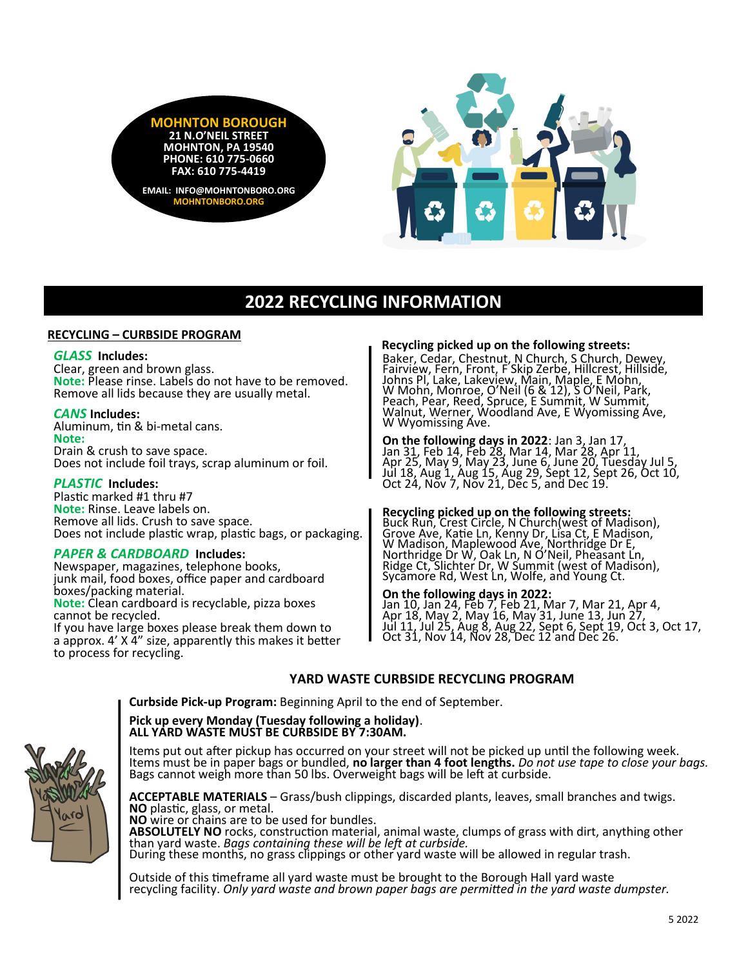



# **2022 RECYCLING INFORMATION**

#### **RECYCLING – CURBSIDE PROGRAM**

#### *GLASS* **Includes:**

Clear, green and brown glass. **Note:** Please rinse. Labels do not have to be removed. Remove all lids because they are usually metal.

#### *CANS* **Includes:**

Aluminum, tin & bi-metal cans. **Note:**  Drain & crush to save space. Does not include foil trays, scrap aluminum or foil.

#### *PLASTIC* **Includes:**

Plastic marked #1 thru #7 **Note:** Rinse. Leave labels on. Remove all lids. Crush to save space. Does not include plastic wrap, plastic bags, or packaging.

## *PAPER & CARDBOARD* **Includes:**

Newspaper, magazines, telephone books, junk mail, food boxes, office paper and cardboard boxes/packing material. **Note:** Clean cardboard is recyclable, pizza boxes cannot be recycled. If you have large boxes please break them down to a approx. 4' X 4" size, apparently this makes it better to process for recycling.

#### **Recycling picked up on the following streets:**

Baker, Cedar, Chestnut, N Church, S Church, Dewey, Fairview, Fern, Front, F Skip Zerbe, Hillcrest, Hillside, Johns Pl, Lake, Lakeview, Main, Maple, E Mohn, W Mohn, Monroe, O'Neil (6 & 12), S O'Neil, Park, Peach, Pear, Reed, Spruce, E Summit, W Summit, Walnut, Werner, Woodland Ave, E Wyomissing Ave, W Wyomissing Ave.

**On the following days in 2022**: Jan 3, Jan 17, Jan 31, Feb 14, Feb 28, Mar 14, Mar 28, Apr 11, Apr 25, May 9, May 23, June 6, June 20, Tuesday Jul 5, Jul 18, Aug 1, Aug 15, Aug 29, Sept 12, Sept 26, Oct 10, Oct 24, Nov 7, Nov 21, Dec 5, and Dec 19.

## **Recycling picked up on the following streets:**

Buck Run, Crest Circle, N Church(west of Madison), Grove Ave, Katie Ln, Kenny Dr, Lisa Ct, E Madison, W Madison, Maplewood Ave, Northridge Dr E, Northridge Dr W, Oak Ln, N O'Neil, Pheasant Ln, Ridge Ct, Slichter Dr, W Summit (west of Madison), Sycamore Rd, West Ln, Wolfe, and Young Ct.

### **On the following days in 2022:**

Jan 10, Jan 24, Feb 7, Feb 21, Mar 7, Mar 21, Apr 4, Apr 18, May 2, May 16, May 31, June 13, Jun 27, Jul 11, Jul 25, Aug 8, Aug 22, Sept 6, Sept 19, Oct 3, Oct 17, Oct 31, Nov 14, Nov 28, Dec 12 and Dec 26.

## **YARD WASTE CURBSIDE RECYCLING PROGRAM**

**Curbside Pick-up Program:** Beginning April to the end of September.

#### **Pick up every Monday (Tuesday following a holiday)**. **ALL YARD WASTE MUST BE CURBSIDE BY 7:30AM.**

Items put out after pickup has occurred on your street will not be picked up until the following week. Items must be in paper bags or bundled, **no larger than 4 foot lengths.** *Do not use tape to close your bags.* Bags cannot weigh more than 50 lbs. Overweight bags will be left at curbside.

lard

**ACCEPTABLE MATERIALS** – Grass/bush clippings, discarded plants, leaves, small branches and twigs. **NO** plastic, glass, or metal. **NO** wire or chains are to be used for bundles. **ABSOLUTELY NO** rocks, construction material, animal waste, clumps of grass with dirt, anything other than yard waste. *Bags containing these will be left at curbside.* During these months, no grass clippings or other yard waste will be allowed in regular trash.

Outside of this timeframe all yard waste must be brought to the Borough Hall yard waste recycling facility. *Only yard waste and brown paper bags are permitted in the yard waste dumpster.*